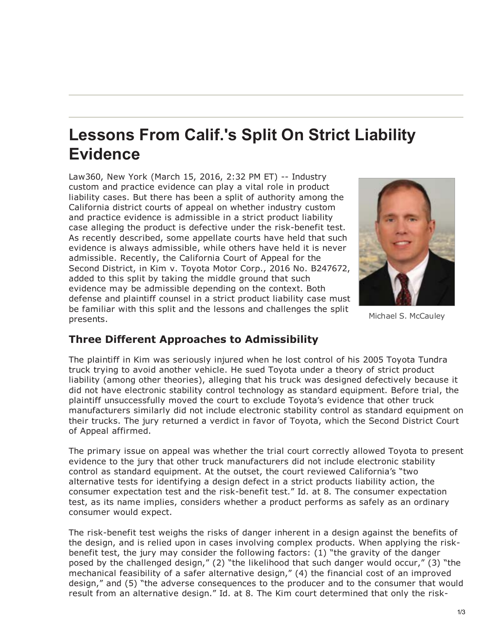## **Lessons From Calif.'s Split On Strict Liability Evidence**

Law360, New York (March 15, 2016, 2:32 PM ET) -- Industry custom and practice evidence can play a vital role in product liability cases. But there has been a split of authority among the California district courts of appeal on whether industry custom and practice evidence is admissible in a strict product liability case alleging the product is defective under the risk-benefit test. As recently described, some appellate courts have held that such evidence is always admissible, while others have held it is never admissible. Recently, the California Court of Appeal for the Second District, in Kim v. Toyota Motor Corp., 2016 No. B247672, added to this split by taking the middle ground that such evidence may be admissible depending on the context. Both defense and plaintiff counsel in a strict product liability case must be familiar with this split and the lessons and challenges the split presents.



Michael S. McCauley

## **Three Different Approaches to Admissibility**

The plaintiff in Kim was seriously injured when he lost control of his 2005 Toyota Tundra truck trying to avoid another vehicle. He sued Toyota under a theory of strict product liability (among other theories), alleging that his truck was designed defectively because it did not have electronic stability control technology as standard equipment. Before trial, the plaintiff unsuccessfully moved the court to exclude Toyota's evidence that other truck manufacturers similarly did not include electronic stability control as standard equipment on their trucks. The jury returned a verdict in favor of Toyota, which the Second District Court of Appeal affirmed.

The primary issue on appeal was whether the trial court correctly allowed Toyota to present evidence to the jury that other truck manufacturers did not include electronic stability control as standard equipment. At the outset, the court reviewed California's "two alternative tests for identifying a design defect in a strict products liability action, the consumer expectation test and the risk-benefit test." Id. at 8. The consumer expectation test, as its name implies, considers whether a product performs as safely as an ordinary consumer would expect.

The risk-benefit test weighs the risks of danger inherent in a design against the benefits of the design, and is relied upon in cases involving complex products. When applying the riskbenefit test, the jury may consider the following factors: (1) "the gravity of the danger posed by the challenged design," (2) "the likelihood that such danger would occur," (3) "the mechanical feasibility of a safer alternative design," (4) the financial cost of an improved design," and (5) "the adverse consequences to the producer and to the consumer that would result from an alternative design." Id. at 8. The Kim court determined that only the risk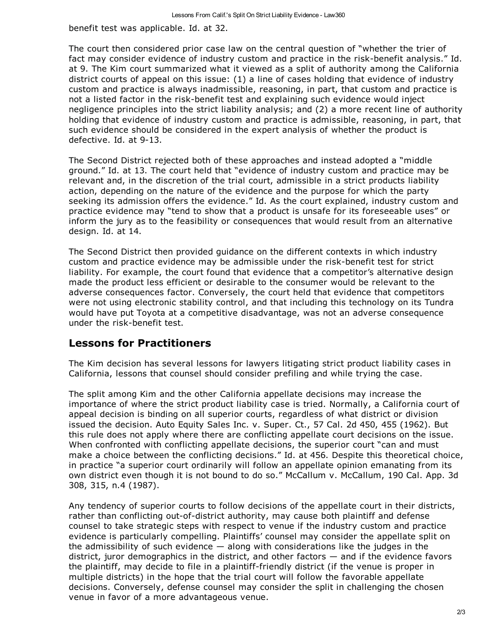benefit test was applicable. Id. at 32.

The court then considered prior case law on the central question of "whether the trier of fact may consider evidence of industry custom and practice in the risk-benefit analysis." Id. at 9. The Kim court summarized what it viewed as a split of authority among the California district courts of appeal on this issue: (1) a line of cases holding that evidence of industry custom and practice is always inadmissible, reasoning, in part, that custom and practice is not a listed factor in the risk-benefit test and explaining such evidence would inject negligence principles into the strict liability analysis; and (2) a more recent line of authority holding that evidence of industry custom and practice is admissible, reasoning, in part, that such evidence should be considered in the expert analysis of whether the product is defective. Id. at 9-13.

The Second District rejected both of these approaches and instead adopted a "middle ground." Id. at 13. The court held that "evidence of industry custom and practice may be relevant and, in the discretion of the trial court, admissible in a strict products liability action, depending on the nature of the evidence and the purpose for which the party seeking its admission offers the evidence." Id. As the court explained, industry custom and practice evidence may "tend to show that a product is unsafe for its foreseeable uses" or inform the jury as to the feasibility or consequences that would result from an alternative design. Id. at 14.

The Second District then provided guidance on the different contexts in which industry custom and practice evidence may be admissible under the risk-benefit test for strict liability. For example, the court found that evidence that a competitor's alternative design made the product less efficient or desirable to the consumer would be relevant to the adverse consequences factor. Conversely, the court held that evidence that competitors were not using electronic stability control, and that including this technology on its Tundra would have put Toyota at a competitive disadvantage, was not an adverse consequence under the risk-benefit test.

## **Lessons for Practitioners**

The Kim decision has several lessons for lawyers litigating strict product liability cases in California, lessons that counsel should consider prefiling and while trying the case.

The split among Kim and the other California appellate decisions may increase the importance of where the strict product liability case is tried. Normally, a California court of appeal decision is binding on all superior courts, regardless of what district or division issued the decision. Auto Equity Sales Inc. v. Super. Ct., 57 Cal. 2d 450, 455 (1962). But this rule does not apply where there are conflicting appellate court decisions on the issue. When confronted with conflicting appellate decisions, the superior court "can and must make a choice between the conflicting decisions." Id. at 456. Despite this theoretical choice, in practice "a superior court ordinarily will follow an appellate opinion emanating from its own district even though it is not bound to do so." McCallum v. McCallum, 190 Cal. App. 3d 308, 315, n.4 (1987).

Any tendency of superior courts to follow decisions of the appellate court in their districts, rather than conflicting out-of-district authority, may cause both plaintiff and defense counsel to take strategic steps with respect to venue if the industry custom and practice evidence is particularly compelling. Plaintiffs' counsel may consider the appellate split on the admissibility of such evidence  $-$  along with considerations like the judges in the district, juror demographics in the district, and other factors — and if the evidence favors the plaintiff, may decide to file in a plaintiff-friendly district (if the venue is proper in multiple districts) in the hope that the trial court will follow the favorable appellate decisions. Conversely, defense counsel may consider the split in challenging the chosen venue in favor of a more advantageous venue.